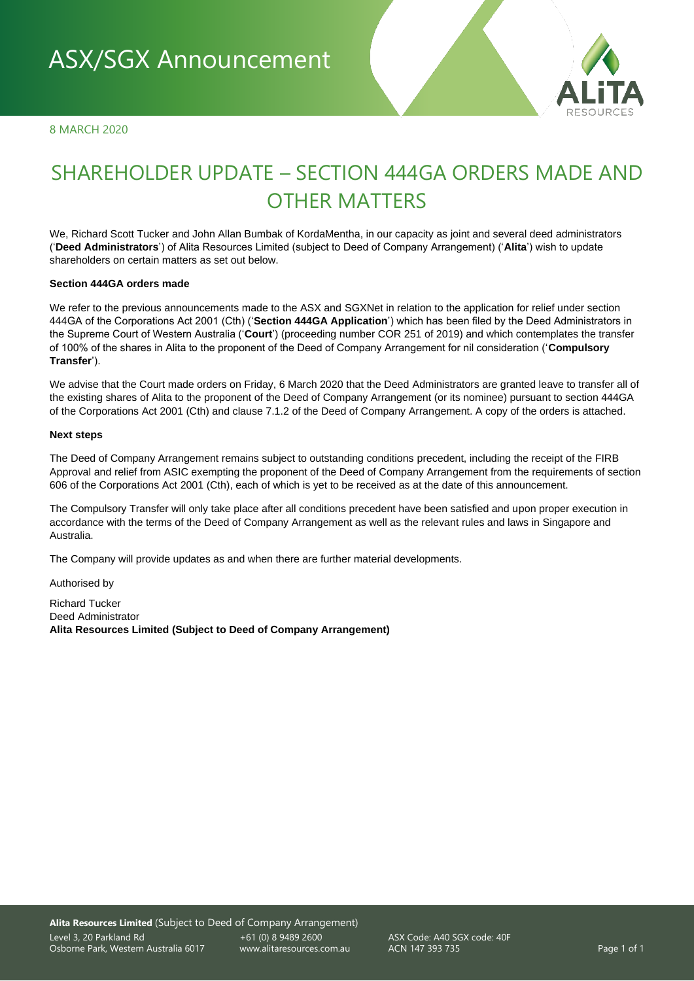8 MARCH 2020



# SHAREHOLDER UPDATE – SECTION 444GA ORDERS MADE AND OTHER MATTERS

We, Richard Scott Tucker and John Allan Bumbak of KordaMentha, in our capacity as joint and several deed administrators ('**Deed Administrators**') of Alita Resources Limited (subject to Deed of Company Arrangement) ('**Alita**') wish to update shareholders on certain matters as set out below.

#### **Section 444GA orders made**

We refer to the previous announcements made to the ASX and SGXNet in relation to the application for relief under section 444GA of the Corporations Act 2001 (Cth) ('**Section 444GA Application**') which has been filed by the Deed Administrators in the Supreme Court of Western Australia ('**Court**') (proceeding number COR 251 of 2019) and which contemplates the transfer of 100% of the shares in Alita to the proponent of the Deed of Company Arrangement for nil consideration ('**Compulsory Transfer**').

We advise that the Court made orders on Friday, 6 March 2020 that the Deed Administrators are granted leave to transfer all of the existing shares of Alita to the proponent of the Deed of Company Arrangement (or its nominee) pursuant to section 444GA of the Corporations Act 2001 (Cth) and clause 7.1.2 of the Deed of Company Arrangement. A copy of the orders is attached.

#### **Next steps**

The Deed of Company Arrangement remains subject to outstanding conditions precedent, including the receipt of the FIRB Approval and relief from ASIC exempting the proponent of the Deed of Company Arrangement from the requirements of section 606 of the Corporations Act 2001 (Cth), each of which is yet to be received as at the date of this announcement.

The Compulsory Transfer will only take place after all conditions precedent have been satisfied and upon proper execution in accordance with the terms of the Deed of Company Arrangement as well as the relevant rules and laws in Singapore and Australia.

The Company will provide updates as and when there are further material developments.

Authorised by

Richard Tucker Deed Administrator **Alita Resources Limited (Subject to Deed of Company Arrangement)**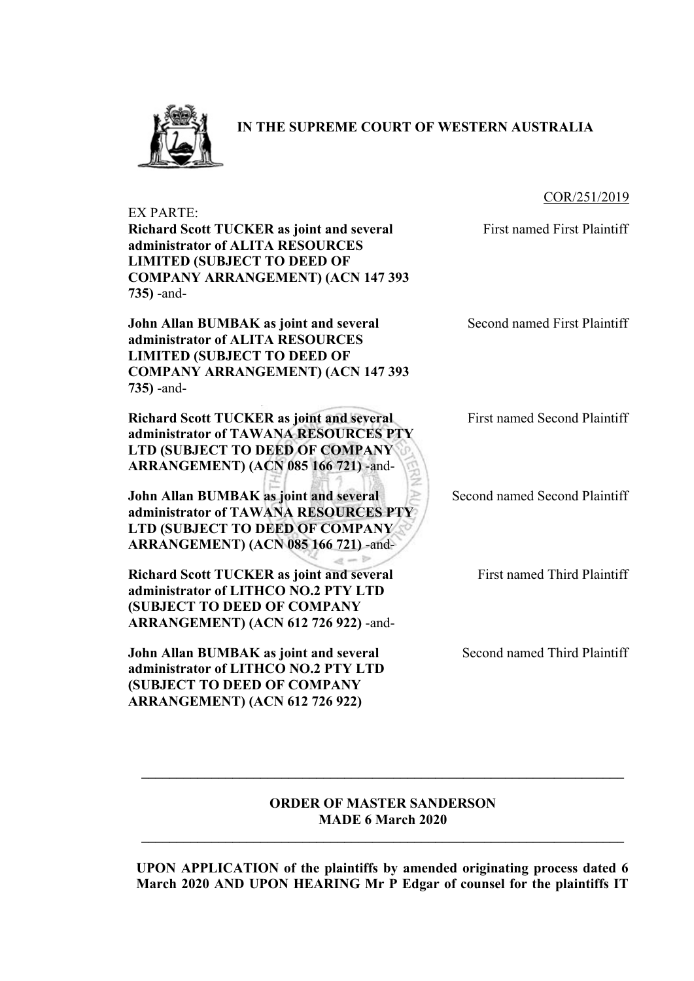

**IN THE SUPREME COURT OF WESTERN AUSTRALIA**

### COR/251/2019

EX PARTE:

**Richard Scott TUCKER as joint and several administrator of ALITA RESOURCES LIMITED (SUBJECT TO DEED OF COMPANY ARRANGEMENT) (ACN 147 393 735)** -and-

**John Allan BUMBAK as joint and several administrator of ALITA RESOURCES LIMITED (SUBJECT TO DEED OF COMPANY ARRANGEMENT) (ACN 147 393 735)** -and-

**Richard Scott TUCKER as joint and several administrator of TAWANA RESOURCES PTY LTD (SUBJECT TO DEED OF COMPANY ARRANGEMENT) (ACN 085 166 721)** -and-

**John Allan BUMBAK as joint and several administrator of TAWANA RESOURCES PTY LTD (SUBJECT TO DEED OF COMPANY ARRANGEMENT) (ACN 085 166 721)** -and-

**Richard Scott TUCKER as joint and several administrator of LITHCO NO.2 PTY LTD (SUBJECT TO DEED OF COMPANY ARRANGEMENT) (ACN 612 726 922)** -and-

**John Allan BUMBAK as joint and several administrator of LITHCO NO.2 PTY LTD (SUBJECT TO DEED OF COMPANY ARRANGEMENT) (ACN 612 726 922)**

First named First Plaintiff

Second named First Plaintiff

First named Second Plaintiff

Second named Second Plaintiff

First named Third Plaintiff

Second named Third Plaintiff

## **ORDER OF MASTER SANDERSON MADE 6 March 2020**

**\_\_\_\_\_\_\_\_\_\_\_\_\_\_\_\_\_\_\_\_\_\_\_\_\_\_\_\_\_\_\_\_\_\_\_\_\_\_\_\_\_\_\_\_\_\_\_\_\_\_\_\_\_\_\_\_\_\_\_\_\_\_\_\_\_\_\_\_\_** 

 $\mathcal{L} = \{ \mathcal{L} \mathcal{L} \mathcal{L} \mathcal{L} \mathcal{L} \mathcal{L} \mathcal{L} \mathcal{L} \mathcal{L} \mathcal{L} \mathcal{L} \mathcal{L} \mathcal{L} \mathcal{L} \mathcal{L} \mathcal{L} \mathcal{L} \mathcal{L} \mathcal{L} \mathcal{L} \mathcal{L} \mathcal{L} \mathcal{L} \mathcal{L} \mathcal{L} \mathcal{L} \mathcal{L} \mathcal{L} \mathcal{L} \mathcal{L} \mathcal{L} \mathcal{L} \mathcal{L} \mathcal{L} \mathcal{L} \$ 

 $a - b$ 

**UPON APPLICATION of the plaintiffs by amended originating process dated 6 March 2020 AND UPON HEARING Mr P Edgar of counsel for the plaintiffs IT**